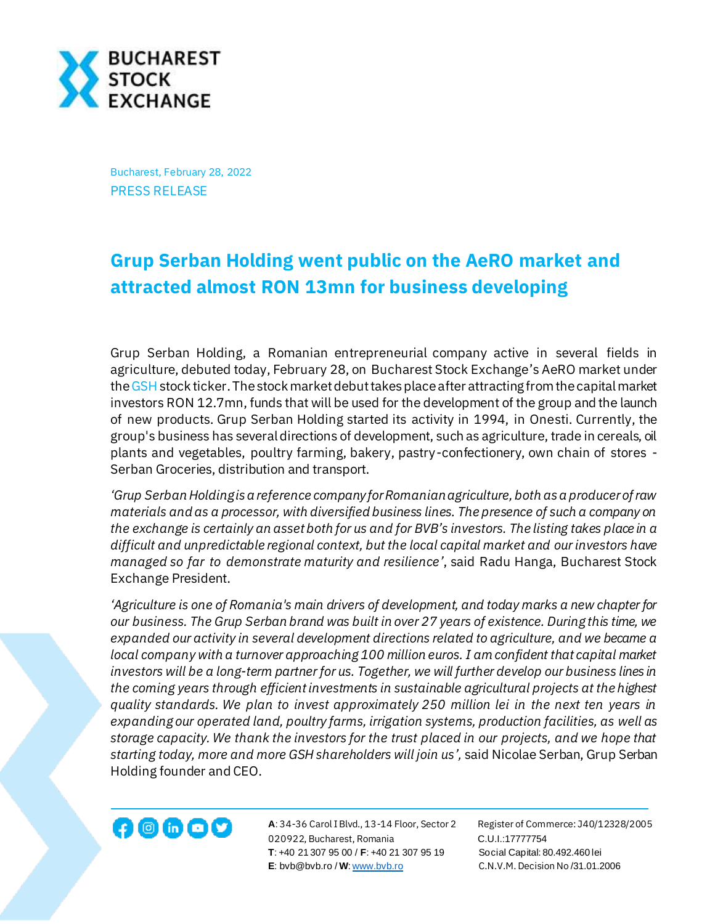

Bucharest, February 28, 2022 PRESS RELEASE

## **Grup Serban Holding went public on the AeRO market and attracted almost RON 13mn for business developing**

Grup Serban Holding, a Romanian entrepreneurial company active in several fields in agriculture, debuted today, February 28, on Bucharest Stock Exchange's AeRO market under th[e GSH](https://bvb.ro/FinancialInstruments/Details/FinancialInstrumentsDetails.aspx?s=gsh) stock ticker. The stock market debut takes place after attracting from the capital market investors RON 12.7mn, funds that will be used for the development of the group and the launch of new products. Grup Serban Holding started its activity in 1994, in Onesti. Currently, the group's business has several directions of development, such as agriculture, trade in cereals, oil plants and vegetables, poultry farming, bakery, pastry-confectionery, own chain of stores - Serban Groceries, distribution and transport.

*'Grup Serban Holding is a reference company for Romanian agriculture, both as a producer of raw materials and as a processor, with diversified business lines. The presence of such a company on the exchange is certainly an asset both for us and for BVB's investors. The listing takes place in a difficult and unpredictable regional context, but the local capital market and our investors have managed so far to demonstrate maturity and resilience'*, said Radu Hanga, Bucharest Stock Exchange President.

*'Agriculture is one of Romania's main drivers of development, and today marks a new chapter for our business. The Grup Serban brand was built in over 27 years of existence. During this time, we expanded our activity in several development directions related to agriculture, and we became a local company with a turnover approaching 100 million euros. I am confident that capital market investors will be a long-term partner for us. Together, we will further develop our business lines in the coming years through efficient investments in sustainable agricultural projects at the highest quality standards. We plan to invest approximately 250 million lei in the next ten years in expanding our operated land, poultry farms, irrigation systems, production facilities, as well as storage capacity. We thank the investors for the trust placed in our projects, and we hope that starting today, more and more GSH shareholders will join us',* said Nicolae Serban, Grup Serban Holding founder and CEO.

**A**: 34-36 Carol I Blvd., 13-14 Floor, Sector 2 Register of Commerce: J40/12328/2005 020922, Bucharest, Romania C.U.I.:17777754  **T**: +40 21 307 95 00 / **F**: +40 21 307 95 19 Social Capital: 80.492.460 lei **E**: bvb@bvb.ro / **W**[: www.bvb.ro](http://www.bvb.ro/) C.N.V.M. Decision No /31.01.2006